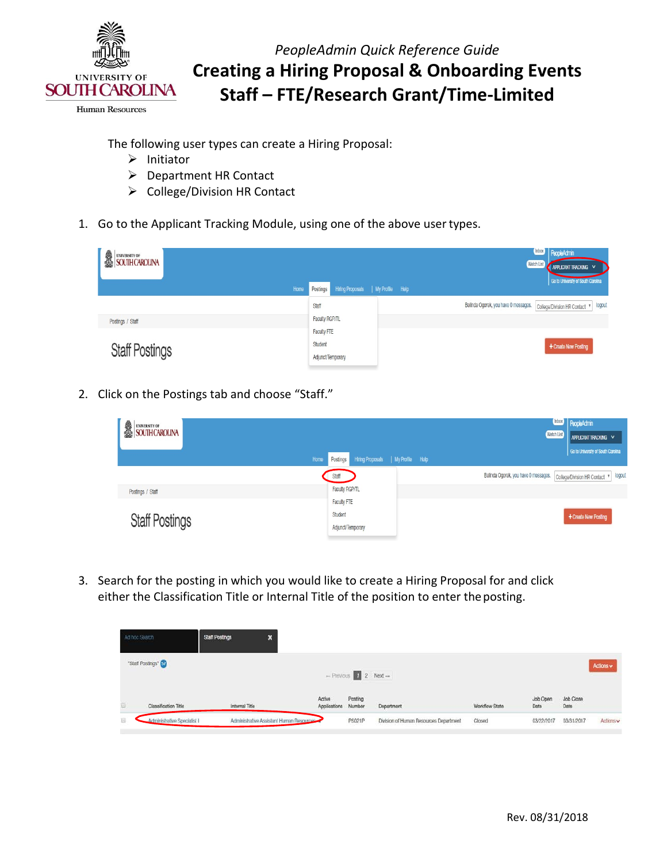

**Human Resources** 

The following user types can create a Hiring Proposal:

- $\triangleright$  Initiator
- Department HR Contact
- $\triangleright$  College/Division HR Contact
- 1. Go to the Applicant Tracking Module, using one of the above user types.

| UNIVERSITY OF SOUTH CAROLINA |                                                | PeopleAdmin<br><b>Watch List</b><br>APPLICANT TRACKING V<br>Go to University of South Carolina |
|------------------------------|------------------------------------------------|------------------------------------------------------------------------------------------------|
| Home                         | Hiring Proposals   My Profile Help<br>Postings |                                                                                                |
|                              | Staff                                          | Belinda Ogorek, you have 0 messages. College/Division HR Contact v<br>logout                   |
| Postings / Staff             | Faculty RGP/TL                                 |                                                                                                |
|                              | Faculty FTE                                    |                                                                                                |
| <b>Staff Postings</b>        | Student<br>Adjunct/Temporary                   | + Create New Posting                                                                           |
|                              |                                                |                                                                                                |

2. Click on the Postings tab and choose "Staff."

| UNIVERSITY OF SOUTH CAROLINA |                                                        | PeopleAdmin<br><b>Watch List</b><br>APPLICANT TRACKING V                     |
|------------------------------|--------------------------------------------------------|------------------------------------------------------------------------------|
|                              | Hiring Proposals   My Profile Help<br>Home<br>Postings | Go to University of South Carolina                                           |
|                              | Staff                                                  | Belinda Ogorek, you have 0 messages. College/Division HR Contact v<br>logout |
| Postings / Staff             | Faculty RGP/TL                                         |                                                                              |
|                              | Faculty FTE                                            |                                                                              |
| <b>Staff Postings</b>        | Student<br>Adjunct/Temporary                           | + Create New Posting                                                         |

 either the Classification Title or Internal Title of the position to enter the posting. 3. Search for the posting in which you would like to create a Hiring Proposal for and click

|    | Ad hoc Search               | <b>Staff Postings</b><br>×               |                        |                                                         |                                        |                      |                  |                   |           |
|----|-----------------------------|------------------------------------------|------------------------|---------------------------------------------------------|----------------------------------------|----------------------|------------------|-------------------|-----------|
|    | "Staff Postings" (57)       |                                          |                        | $\rightarrow$ Previous $\boxed{1}$ 2 Next $\rightarrow$ |                                        |                      |                  |                   | Actions v |
| Đ, | Classification Title        | Internal Title                           | Active<br>Applications | Posting<br>Number                                       | Department                             | Workflow State       | Job Open<br>Date | Job Close<br>Date |           |
| 盲  | Administrative Specialist I | Administrative Assistant Human Resources |                        | PS021P                                                  | Division of Human Resources Department | Closed<br>5235 529 F | 03/22/2017       | 03/31/2017        | Actions v |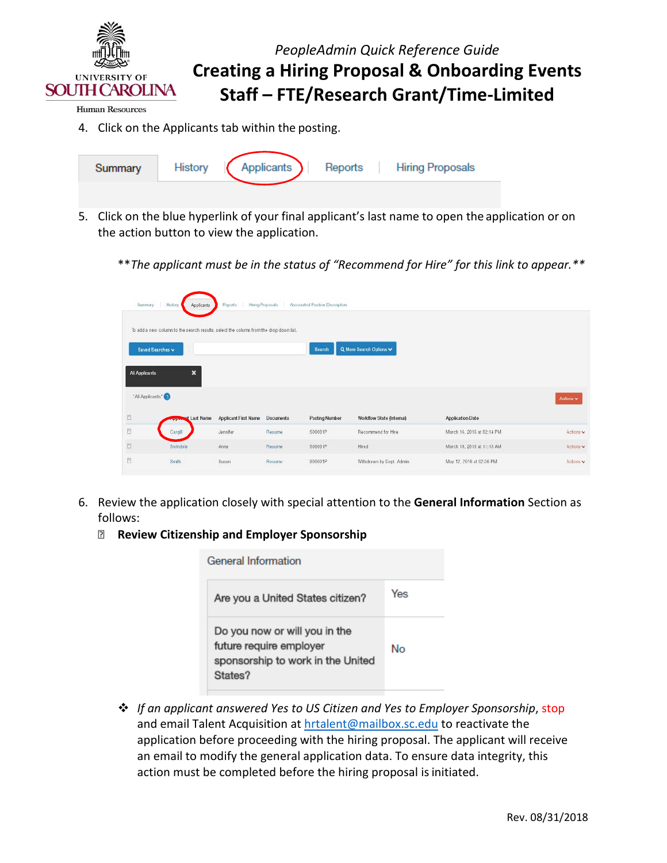

**Human Resources** 

4. Click on the Applicants tab within the posting.

| Summary | History | Applicants | Reports | <b>Hiring Proposals</b> |
|---------|---------|------------|---------|-------------------------|
|         |         |            |         |                         |

- 5. Click on the blue hyperlink of your final applicant's last name to open the application or on the action button to view the application.
	- \*\**The applicant must be in the status of "Recommend for Hire" for this link to appear.\*\**

|                | To add a new column to the search results, select the column from the drop down list. |                             |                  |                       |                           |                            |           |
|----------------|---------------------------------------------------------------------------------------|-----------------------------|------------------|-----------------------|---------------------------|----------------------------|-----------|
|                | Saved Searches v                                                                      |                             |                  | Snarch                | Q More Search Options V   |                            |           |
| All Applicants | 53                                                                                    |                             |                  |                       |                           |                            |           |
|                | 'All Applicants'                                                                      |                             |                  |                       |                           |                            | Actions v |
| E              | of Last Name                                                                          | <b>Applicant First Name</b> | <b>Documents</b> | <b>Posting Number</b> | Workflow State (Internal) | <b>Application Date</b>    |           |
| E              | Cargill                                                                               | Jennifer                    | Resume           | S00001P               | Recommend for Hire        | March 16, 2016 at 02:14 PM | Actions v |
| E              | Swindale                                                                              | Anne                        | Resume.          | S00001P               | Hired                     | March 18, 2016 at 11:13 AM | Actions v |
|                |                                                                                       |                             |                  |                       |                           |                            |           |

- 6. Review the application closely with special attention to the **General Information** Section as follows:
	- **Review Citizenship and Employer Sponsorship**

| General Information                                                                                      |     |
|----------------------------------------------------------------------------------------------------------|-----|
| Are you a United States citizen?                                                                         | Yes |
| Do you now or will you in the<br>future require employer<br>sponsorship to work in the United<br>States? | No  |

and email Talent Acquisition at **hrtalent@mailbox.sc.edu** to reactivate the application before proceeding with the hiring proposal. The applicant will receive an email to modify the general application data. To ensure data integrity, this action must be completed before the hiring proposal is initiated. *If an applicant answered Yes to US Citizen and Yes to Employer Sponsorship*, stop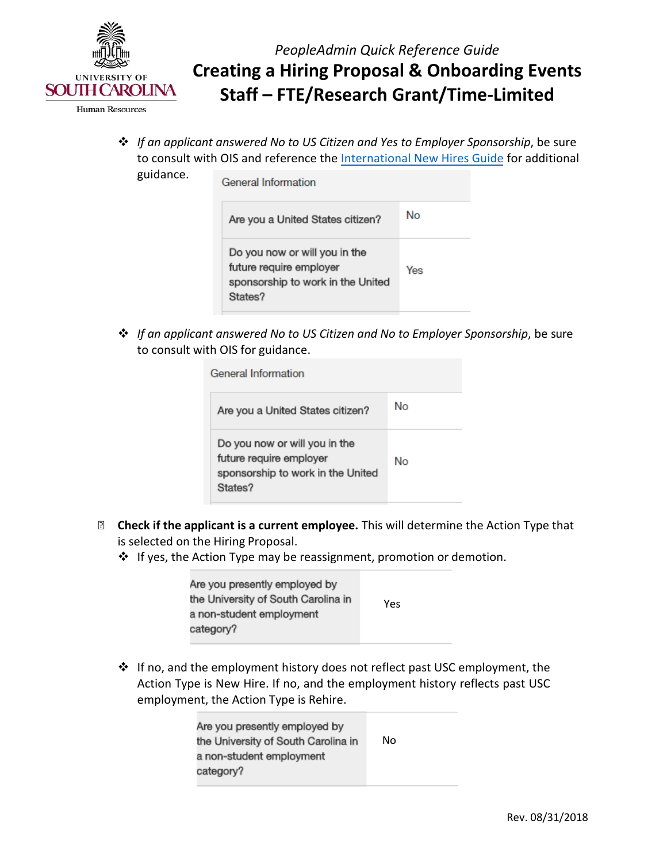

**Human Resources** 

- *PeopleAdmin Quick Reference Guide*  **Creating a Hiring Proposal & Onboarding Events Staff – FTE/Research Grant/Time-Limited**
- *If an applicant answered No to US Citizen and Yes to Employer Sponsorship*, be sure to consult with OIS and reference th[e International New Hires Guide f](http://www.sc.edu/about/offices_and_divisions/human_resources/docs/pa_international_new_hires.pdf)or additional guidance.

| General Information                                                                                      |     |
|----------------------------------------------------------------------------------------------------------|-----|
| Are you a United States citizen?                                                                         | No  |
| Do you now or will you in the<br>future require employer<br>sponsorship to work in the United<br>States? | Yes |

 *If an applicant answered No to US Citizen and No to Employer Sponsorship*, be sure to consult with OIS for guidance.

| General Information                                                                                      |    |
|----------------------------------------------------------------------------------------------------------|----|
| Are you a United States citizen?                                                                         | No |
| Do you now or will you in the<br>future require employer<br>sponsorship to work in the United<br>States? | No |

- **Check if the applicant is a current employee.** This will determine the Action Type that is selected on the Hiring Proposal.
	- ❖ If yes, the Action Type may be reassignment, promotion or demotion.

| Are you presently employed by<br>the University of South Carolina in | Yes |
|----------------------------------------------------------------------|-----|
| a non-student employment                                             |     |
| category?                                                            |     |

 If no, and the employment history does not reflect past USC employment, the employment, the Action Type is Rehire. Action Type is New Hire. If no, and the employment history reflects past USC

| Are you presently employed by<br>the University of South Carolina in | No |
|----------------------------------------------------------------------|----|
| a non-student employment                                             |    |
| category?                                                            |    |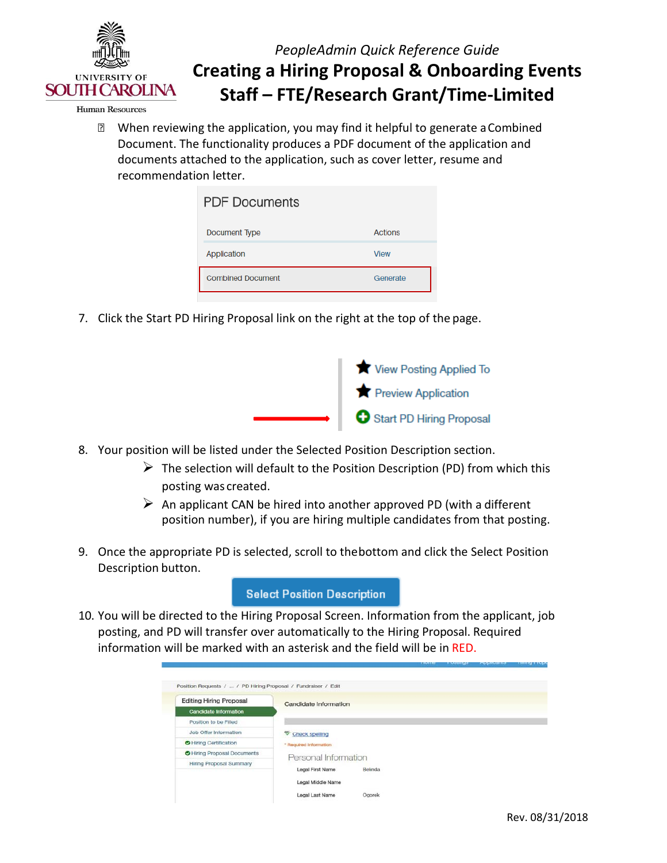

**Human Resources** 

 documents attached to the application, such as cover letter, resume and When reviewing the application, you may find it helpful to generate aCombined Document. The functionality produces a PDF document of the application and recommendation letter.

| <b>PDF Documents</b>     |                |
|--------------------------|----------------|
| Document Type            | <b>Actions</b> |
| Application              | <b>View</b>    |
| <b>Combined Document</b> | Generate       |

7. Click the Start PD Hiring Proposal link on the right at the top of the page.



- 8. Your position will be listed under the Selected Position Description section.
	- posting was created.  $\triangleright$  The selection will default to the Position Description (PD) from which this
	- $\triangleright$  An applicant CAN be hired into another approved PD (with a different position number), if you are hiring multiple candidates from that posting.
- Description button. 9. Once the appropriate PD is selected, scroll to thebottom and click the Select Position

### **Select Position Description**

 information will be marked with an asterisk and the field will be in RED. 10. You will be directed to the Hiring Proposal Screen. Information from the applicant, job posting, and PD will transfer over automatically to the Hiring Proposal. Required

| Candidate Information  |        |                                 |  |
|------------------------|--------|---------------------------------|--|
|                        |        |                                 |  |
|                        |        |                                 |  |
| Check spelling         |        |                                 |  |
| * Regulred Information |        |                                 |  |
|                        |        |                                 |  |
|                        |        |                                 |  |
| Legal First Name       |        |                                 |  |
| Legal Middle Name      |        |                                 |  |
|                        | Ogorek |                                 |  |
|                        |        | Personal Information<br>Belinda |  |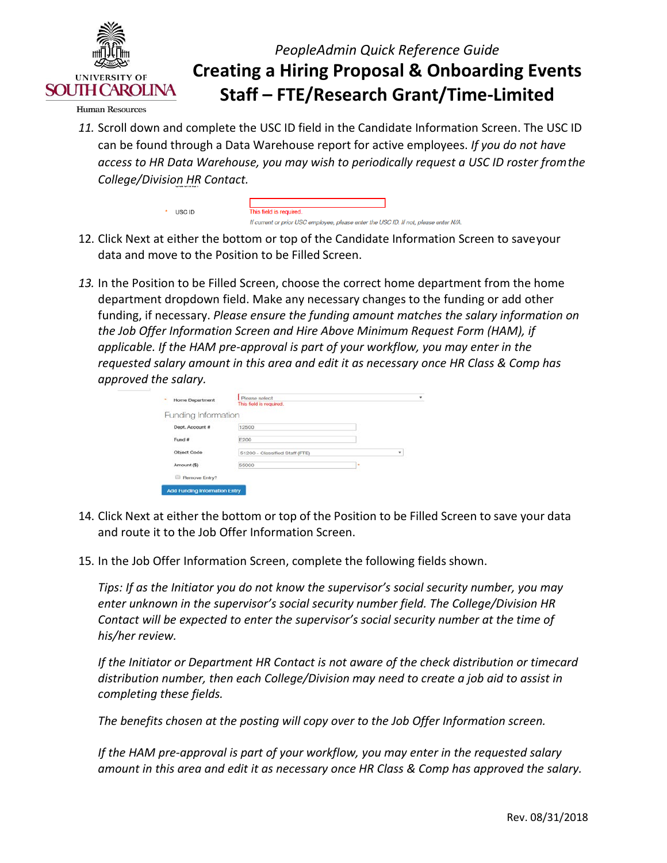

**Human Resources** 

 $*$  USC ID

 *College/Division HR Contact. 11.* Scroll down and complete the USC ID field in the Candidate Information Screen. The USC ID can be found through a Data Warehouse report for active employees. *If you do not have access to HR Data Warehouse, you may wish to periodically request a USC ID roster fromthe*

| This field is required.                                                              |  |  |
|--------------------------------------------------------------------------------------|--|--|
| If current or prior USC employee, please enter the USC ID, If not, please enter N/A. |  |  |

- data and move to the Position to be Filled Screen. 12. Click Next at either the bottom or top of the Candidate Information Screen to saveyour
- *13.* In the Position to be Filled Screen, choose the correct home department from the home department dropdown field. Make any necessary changes to the funding or add other  *requested salary amount in this area and edit it as necessary once HR Class & Comp has* funding, if necessary. *Please ensure the funding amount matches the salary information on the Job Offer Information Screen and Hire Above Minimum Request Form (HAM), if applicable. If the HAM pre-approval is part of your workflow, you may enter in the approved the salary.*

|                       | This field is required.        |   |   |
|-----------------------|--------------------------------|---|---|
| Funding Information   |                                |   |   |
| Dept. Account #       | 12500                          |   |   |
| Fund #                | E200                           |   |   |
| Object Code           | 51200 - Classified Staff (FTE) |   | ۰ |
| Amount (\$)           | 55000                          | ٠ |   |
| Remove Entry?<br>till |                                |   |   |

- 14. Click Next at either the bottom or top of the Position to be Filled Screen to save your data and route it to the Job Offer Information Screen.
- 15. In the Job Offer Information Screen, complete the following fields shown.

 *Tips: If as the Initiator you do not know the supervisor's social security number, you may Contact will be expected to enter the supervisor's social security number at the time of enter unknown in the supervisor's social security number field. The College/Division HR his/her review.*

*If the Initiator or Department HR Contact is not aware of the check distribution or timecard distribution number, then each College/Division may need to create a job aid to assist in completing these fields.*

*The benefits chosen at the posting will copy over to the Job Offer Information screen.*

*If the HAM pre-approval is part of your workflow, you may enter in the requested salary amount in this area and edit it as necessary once HR Class & Comp has approved the salary.*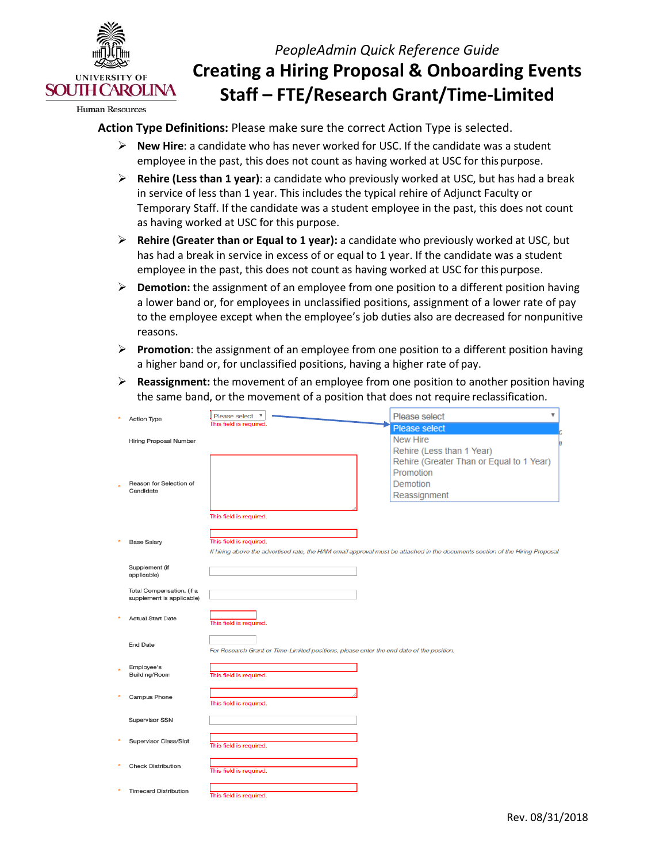

**Human Resources** 

#### **Action Type Definitions:** Please make sure the correct Action Type is selected.

- **New Hire**: a candidate who has never worked for USC. If the candidate was a student employee in the past, this does not count as having worked at USC for this purpose.
- **Rehire (Less than 1 year)**: a candidate who previously worked at USC, but has had a break in service of less than 1 year. This includes the typical rehire of Adjunct Faculty or as having worked at USC for this purpose. Temporary Staff. If the candidate was a student employee in the past, this does not count
- **Rehire (Greater than or Equal to 1 year):** a candidate who previously worked at USC, but employee in the past, this does not count as having worked at USC for this purpose. has had a break in service in excess of or equal to 1 year. If the candidate was a student
- **Demotion:** the assignment of an employee from one position to a different position having a lower band or, for employees in unclassified positions, assignment of a lower rate of pay to the employee except when the employee's job duties also are decreased for nonpunitive reasons.
- **Promotion**: the assignment of an employee from one position to a different position having a higher band or, for unclassified positions, having a higher rate of pay.
- the same band, or the movement of a position that does not require reclassification. **Reassignment:** the movement of an employee from one position to another position having

| <b>Action Type</b>                                     | Please select<br>$\boldsymbol{\mathrm{v}}$                                                                                    | Please select<br>v                       |
|--------------------------------------------------------|-------------------------------------------------------------------------------------------------------------------------------|------------------------------------------|
|                                                        | This field is required.                                                                                                       | <b>Please select</b>                     |
| Hiring Proposal Number                                 |                                                                                                                               | <b>New Hire</b>                          |
|                                                        |                                                                                                                               | Rehire (Less than 1 Year)                |
|                                                        |                                                                                                                               | Rehire (Greater Than or Equal to 1 Year) |
|                                                        |                                                                                                                               | Promotion                                |
| Reason for Selection of                                |                                                                                                                               | Demotion                                 |
| Candidate                                              |                                                                                                                               | Reassignment                             |
|                                                        |                                                                                                                               |                                          |
|                                                        | This field is required.                                                                                                       |                                          |
|                                                        |                                                                                                                               |                                          |
| <b>Base Salary</b>                                     | This field is required.                                                                                                       |                                          |
|                                                        | If hiring above the advertised rate, the HAM email approval must be attached in the documents section of the Hiring Proposal. |                                          |
|                                                        |                                                                                                                               |                                          |
| Supplement (if<br>applicable)                          |                                                                                                                               |                                          |
|                                                        |                                                                                                                               |                                          |
| Total Compensation, (if a<br>supplement is applicable) |                                                                                                                               |                                          |
|                                                        |                                                                                                                               |                                          |
| <b>Actual Start Date</b>                               |                                                                                                                               |                                          |
|                                                        | This field is required.                                                                                                       |                                          |
|                                                        |                                                                                                                               |                                          |
| <b>End Date</b>                                        | For Research Grant or Time-Limited positions, please enter the end date of the position.                                      |                                          |
|                                                        |                                                                                                                               |                                          |
| Employee's<br>Building/Room                            | This field is required.                                                                                                       |                                          |
|                                                        |                                                                                                                               |                                          |
| Campus Phone                                           |                                                                                                                               |                                          |
|                                                        | This field is required.                                                                                                       |                                          |
| Supervisor SSN                                         |                                                                                                                               |                                          |
|                                                        |                                                                                                                               |                                          |
| Supervisor Class/Slot                                  |                                                                                                                               |                                          |
|                                                        | This field is required.                                                                                                       |                                          |
| <b>Check Distribution</b>                              |                                                                                                                               |                                          |
|                                                        | This field is required.                                                                                                       |                                          |
|                                                        |                                                                                                                               |                                          |
| <b>Timecard Distribution</b>                           | This field is required.                                                                                                       |                                          |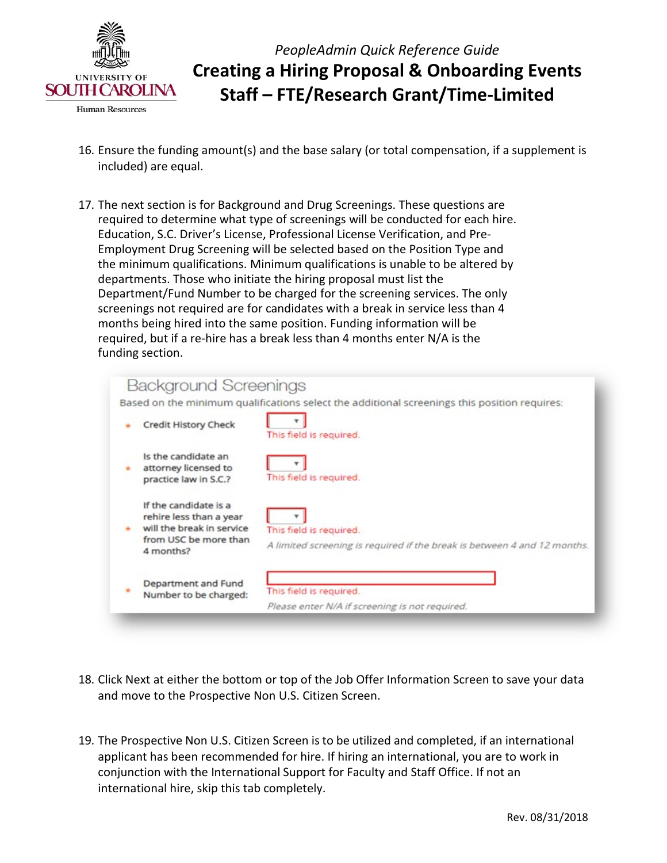

**Human Resources** 

*PeopleAdmin Quick Reference Guide*  **Creating a Hiring Proposal & Onboarding Events Staff – FTE/Research Grant/Time-Limited** 

- included) are equal. 16. Ensure the funding amount(s) and the base salary (or total compensation, if a supplement is
- required to determine what type of screenings will be conducted for each hire. the minimum qualifications. Minimum qualifications is unable to be altered by screenings not required are for candidates with a break in service less than 4 months being hired into the same position. Funding information will be funding section. 17. The next section is for Background and Drug Screenings. These questions are Education, S.C. Driver's License, Professional License Verification, and Pre-Employment Drug Screening will be selected based on the Position Type and departments. Those who initiate the hiring proposal must list the Department/Fund Number to be charged for the screening services. The only required, but if a re-hire has a break less than 4 months enter N/A is the

|                                                                                                                     | Based on the minimum qualifications select the additional screenings this position requires:        |
|---------------------------------------------------------------------------------------------------------------------|-----------------------------------------------------------------------------------------------------|
| <b>Credit History Check</b>                                                                                         | This field is required.                                                                             |
| Is the candidate an<br>attorney licensed to<br>practice law in S.C.?                                                | This field is required.                                                                             |
| If the candidate is a<br>rehire less than a year<br>will the break in service<br>from USC be more than<br>4 months? | This field is required.<br>A limited screening is required if the break is between 4 and 12 months. |
| Department and Fund<br>Number to be charged:                                                                        | This field is required.<br>Please enter N/A if screening is not required.                           |

- 18. Click Next at either the bottom or top of the Job Offer Information Screen to save your data and move to the Prospective Non U.S. Citizen Screen.
- 19. The Prospective Non U.S. Citizen Screen is to be utilized and completed, if an international applicant has been recommended for hire. If hiring an international, you are to work in conjunction with the International Support for Faculty and Staff Office. If not an international hire, skip this tab completely.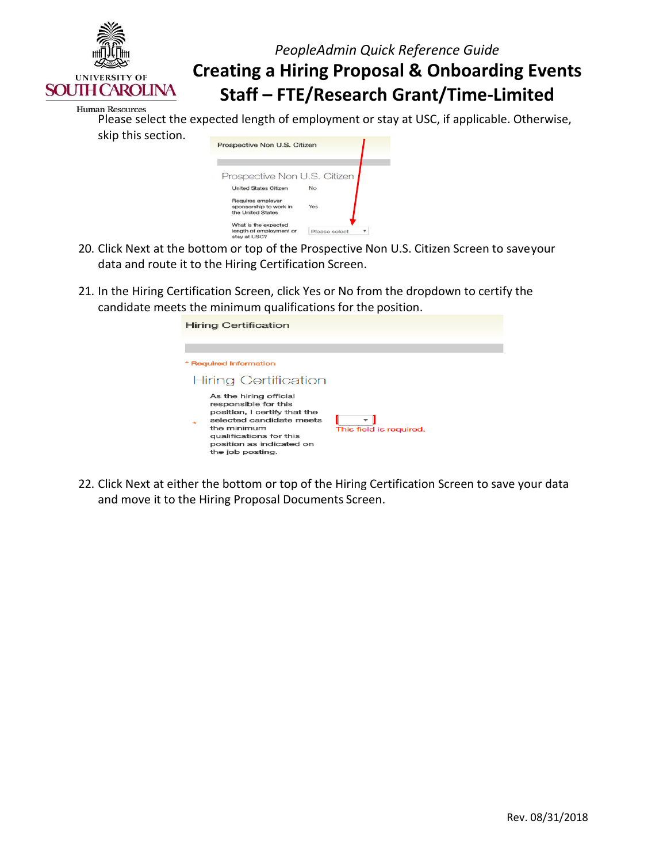

| an Resources       |                                                                                           |  |  |
|--------------------|-------------------------------------------------------------------------------------------|--|--|
|                    | Please select the expected length of employment or stay at USC, if applicable. Otherwise, |  |  |
| skip this section. |                                                                                           |  |  |

| Prospective Non U.S. Citizen                                     |               |
|------------------------------------------------------------------|---------------|
| Prospective Non U.S. Citizen                                     |               |
| <b>United States Citizen</b>                                     | No.           |
| Requires employer<br>sponsorship to work in<br>the United States | Yes           |
| What is the expected<br>length of employment or<br>stay at USC?  | Please select |

- 20. Click Next at the bottom or top of the Prospective Non U.S. Citizen Screen to saveyour data and route it to the Hiring Certification Screen.
- 21. In the Hiring Certification Screen, click Yes or No from the dropdown to certify the candidate meets the minimum qualifications for the position.

| <b>Hiring Certification</b>                                                                                                                                                                          |                         |
|------------------------------------------------------------------------------------------------------------------------------------------------------------------------------------------------------|-------------------------|
|                                                                                                                                                                                                      |                         |
| * Required Information                                                                                                                                                                               |                         |
| Hiring Certification                                                                                                                                                                                 |                         |
| As the hiring official<br>responsible for this<br>position, I certify that the<br>selected candidate meets<br>the minimum<br>qualifications for this<br>position as indicated on<br>the job posting. | This field is required. |

 22. Click Next at either the bottom or top of the Hiring Certification Screen to save your data and move it to the Hiring Proposal Documents Screen.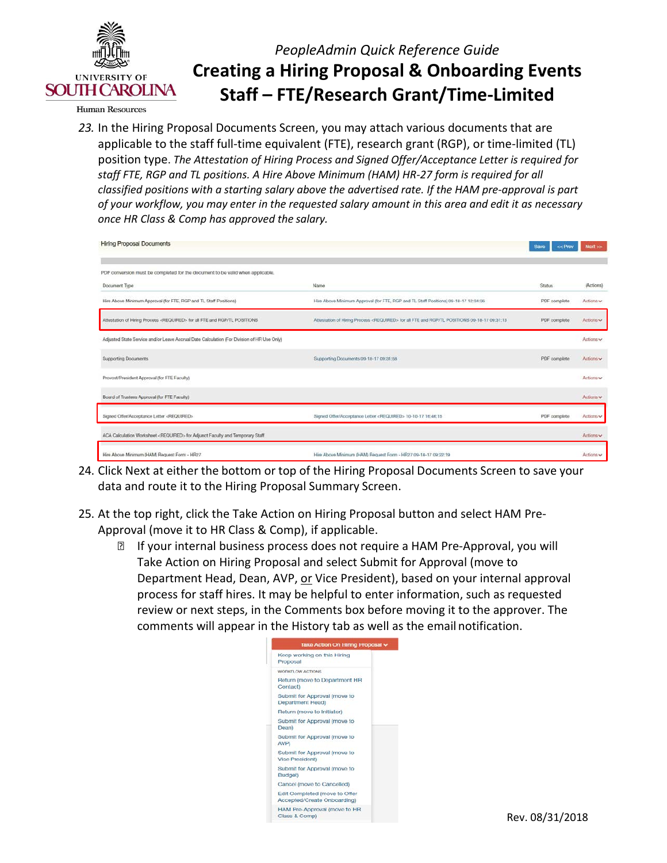

**Human Resources** 

 *23.* In the Hiring Proposal Documents Screen, you may attach various documents that are applicable to the staff full-time equivalent (FTE), research grant (RGP), or time-limited (TL)  position type. *The Attestation of Hiring Process and Signed Offer/Acceptance Letter is required for of your workflow, you may enter in the requested salary amount in this area and edit it as necessary once HR Class & Comp has approved the salary. staff FTE, RGP and TL positions. A Hire Above Minimum (HAM) HR-27 form is required for all classified positions with a starting salary above the advertised rate. If the HAM pre-approval is part*

| <b>Hiring Proposal Documents</b>                                                           |                                                                                                        | Save<br>$<<$ Prev | Next      |
|--------------------------------------------------------------------------------------------|--------------------------------------------------------------------------------------------------------|-------------------|-----------|
| PDF conversion must be completed for the document to be valid when applicable.             |                                                                                                        |                   |           |
| Document Type                                                                              | Name                                                                                                   | <b>Status</b>     | (Actions) |
| Hire Above Minimum Approval (for FTE, RGP and TL Staff Positions)                          | Hire Above Minimum Approval (for FTE, RGP and TL Staff Positions) 09-18-17 12:34:36                    | PDF complete      | Actions v |
| Attestation of Hiring Process <required> for all FTE and RGP/TL POSITIONS</required>       | Attestation of Hiring Process <required> for all FTE and RGP/TL POSITIONS 09-18-17 09:31:13</required> | PDF complete      | Actions ~ |
| Adjusted State Service and/or Leave Accrual Date Calculation (For Division of HR Use Only) |                                                                                                        |                   | Actions v |
| <b>Supporting Documents</b>                                                                | Supporting Documents 09-18-17 09:31:58                                                                 | PDF complete      | Actions v |
| Provost/President Approval (for FTE Faculty)                                               |                                                                                                        |                   | Actions v |
| Board of Trustees Approval (for FTE Faculty)                                               |                                                                                                        |                   | Actions v |
| Signed Offer/Acceptance Letter <required></required>                                       | Signed Offer/Acceptance Letter <required> 10-10-17 16:46:15</required>                                 | PDF complete      | Actions v |
| ACA Calculation Worksheet <required> for Adjunct Faculty and Temporary Staff</required>    |                                                                                                        |                   | Actions ~ |
| Hire Above Minimum (HAM) Request Form - HR27                                               | Hire Above Minimum (HAM) Request Form - HR27 09-18-17 09:22:19                                         |                   | Actions w |

- 24. Click Next at either the bottom or top of the Hiring Proposal Documents Screen to save your data and route it to the Hiring Proposal Summary Screen.
- 25. At the top right, click the Take Action on Hiring Proposal button and select HAM Pre- Approval (move it to HR Class & Comp), if applicable.
	- process for staff hires. It may be helpful to enter information, such as requested comments will appear in the History tab as well as the email notification. **If your internal business process does not require a HAM Pre-Approval, you will** Take Action on Hiring Proposal and select Submit for Approval (move to Department Head, Dean, AVP, or Vice President), based on your internal approval review or next steps, in the Comments box before moving it to the approver. The

|             | Take Action On Hiring Proposal v                             |  |
|-------------|--------------------------------------------------------------|--|
| Proposal    | Keep working on this Hiring                                  |  |
|             | WORKFLOW ACTIONS                                             |  |
| Contact)    | Return (move to Department HR                                |  |
|             | Submit for Approval (move to<br>Department Head)             |  |
|             | Return <i>(move</i> to Initiator)                            |  |
| Dean)       | Submit for Approval (move to                                 |  |
| <b>AVP1</b> | Submit for Approval (move to                                 |  |
|             | Submit for Approval (move to<br>Vice President)              |  |
| Budget)     | Submit for Approval (move to                                 |  |
|             | Cancel (move to Cancelled)                                   |  |
|             | Edit Completed (move to Offer<br>Accepted/Create Onboarding) |  |
|             | HAM Pre-Approval (move to HR<br>Class & Comp)                |  |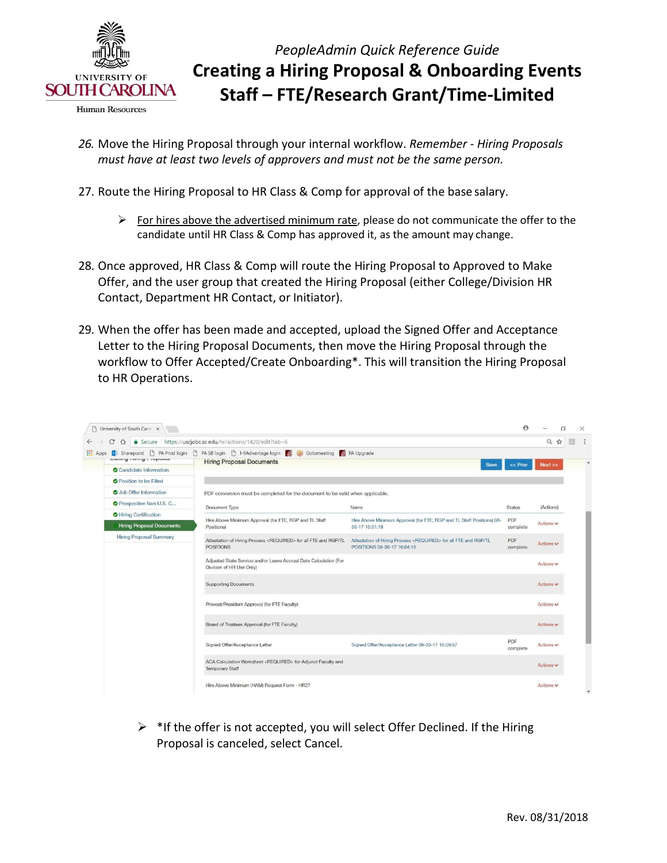

- **Human Resources**
- *must have at least two levels of approvers and must not be the same person. 26.* Move the Hiring Proposal through your internal workflow. *Remember - Hiring Proposals*
- 27. Route the Hiring Proposal to HR Class & Comp for approval of the base salary.
	- $\triangleright$  For hires above the advertised minimum rate, please do not communicate the offer to the candidate until HR Class & Comp has approved it, as the amount may change.
- 28. Once approved, HR Class & Comp will route the Hiring Proposal to Approved to Make Contact, Department HR Contact, or Initiator). Offer, and the user group that created the Hiring Proposal (either College/Division HR
- Letter to the Hiring Proposal Documents, then move the Hiring Proposal through the 29. When the offer has been made and accepted, upload the Signed Offer and Acceptance workflow to Offer Accepted/Create Onboarding\*. This will transition the Hiring Proposal to HR Operations.

| C<br>$\curvearrowright$          | Secure https://uscjobs.sc.edu/hr/actions/1420/edit?tab=6                                                                      |                                                                                                            |                 | $\Theta$<br>☆  |
|----------------------------------|-------------------------------------------------------------------------------------------------------------------------------|------------------------------------------------------------------------------------------------------------|-----------------|----------------|
| <b>WWW.I LEADER</b>              | Sharepoint   PA Prod login   PA SB login   I-9Advantage login<br>Gotomeeting S PA Upgrade<br><b>Hiring Proposal Documents</b> |                                                                                                            |                 |                |
| Candidate Information            |                                                                                                                               | Save                                                                                                       | $<<$ Prev       | Next >>        |
| <b>O</b> Position to be Filled   |                                                                                                                               |                                                                                                            |                 |                |
| <b>O</b> Job Offer Information   | PDF conversion must be completed for the document to be valid when applicable.                                                |                                                                                                            |                 |                |
| <b>O</b> Prospective Non U.S. C  | Document Type                                                                                                                 | Name                                                                                                       | <b>Status</b>   | (Actions)      |
| Hiring Certification             | Hire Above Minimum Approval (for FTE, RGP and TL Staff                                                                        | Hire Above Minimum Approval (for FTE, RGP and TL Staff Positions) 08-                                      | PDF             |                |
| <b>Hiring Proposal Documents</b> | <b>Positions</b> )                                                                                                            | 30-17 10:51:18                                                                                             | complete        | Actions $\vee$ |
| <b>Hiring Proposal Summary</b>   | Attestation of Hiring Process <required> for all FTE and RGP/TL<br/><b>POSITIONS</b></required>                               | Attestation of Hiring Process <required> for all FTE and RGP/TL<br/>POSITIONS 08-30-17 16:04:15</required> | PDF<br>complete | Actions $\vee$ |
|                                  | Adjusted State Service and/or Leave Accrual Date Calculation (For<br>Division of HR Use Only)                                 |                                                                                                            |                 | Actions $\vee$ |
|                                  | <b>Supporting Documents</b>                                                                                                   |                                                                                                            |                 | Actions v      |
|                                  | Provost/President Approval (for FTE Faculty)                                                                                  |                                                                                                            |                 | Actions $\vee$ |
|                                  | Board of Trustees Approval (for FTE Faculty)                                                                                  |                                                                                                            |                 | Actions v      |
|                                  | Signed Offer/Acceptance Letter                                                                                                | Signed Offer/Acceptance Letter 08-30-17 16:09:57                                                           | PDF<br>complete | Actions $\vee$ |
|                                  | ACA Calculation Worksheet <required> for Adjunct Faculty and<br/><b>Temporary Staff</b></required>                            |                                                                                                            |                 | Actions $\vee$ |

 Proposal is canceled, select Cancel.  $\triangleright$  \*If the offer is not accepted, you will select Offer Declined. If the Hiring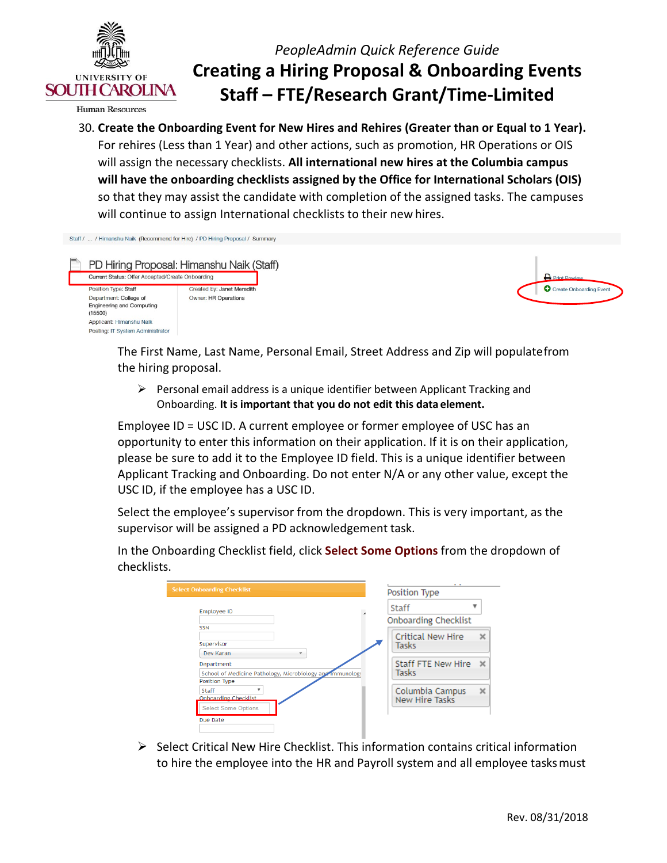

**Human Resources** 

 For rehires (Less than 1 Year) and other actions, such as promotion, HR Operations or OIS so that they may assist the candidate with completion of the assigned tasks. The campuses 30. **Create the Onboarding Event for New Hires and Rehires (Greater than or Equal to 1 Year).** will assign the necessary checklists. **All international new hires at the Columbia campus will have the onboarding checklists assigned by the Office for International Scholars (OIS)**  will continue to assign International checklists to their new hires.

| Staff /  / Himanshu Naik (Recommend for Hire) / PD Hiring Proposal / Summary |                             |
|------------------------------------------------------------------------------|-----------------------------|
| PD Hiring Proposal: Himanshu Naik (Staff)                                    |                             |
| Current Status: Offer Accepted/Create Onboarding                             |                             |
| <b>Position Type: Staff</b>                                                  | Created by: Janet Meredith  |
| Department: College of                                                       | <b>Owner: HR Operations</b> |
| <b>Engineering and Computing</b><br>(15500)                                  |                             |
| Applicant: Himanshu Naik                                                     |                             |
| Posting: IT System Administrator                                             |                             |

| <b>Print Preview</b>    |
|-------------------------|
| Create Onboarding Event |
|                         |

The First Name, Last Name, Personal Email, Street Address and Zip will populatefrom the hiring proposal.

 Onboarding. **It is important that you do not edit this data element.**  $\triangleright$  Personal email address is a unique identifier between Applicant Tracking and

 Employee ID = USC ID. A current employee or former employee of USC has an opportunity to enter this information on their application. If it is on their application, Applicant Tracking and Onboarding. Do not enter N/A or any other value, except the please be sure to add it to the Employee ID field. This is a unique identifier between USC ID, if the employee has a USC ID.

 Select the employee's supervisor from the dropdown. This is very important, as the supervisor will be assigned a PD acknowledgement task.

In the Onboarding Checklist field, click **Select Some Options** from the dropdown of checklists.

| <b>Select Onboarding Checklist</b>                                                       | . .<br>Position Type                          |
|------------------------------------------------------------------------------------------|-----------------------------------------------|
| <b>Employee ID</b>                                                                       | Staff<br><b>Onboarding Checklist</b>          |
| <b>SSN</b><br>Supervisor<br>Dev Karan<br>v                                               | <b>Critical New Hire</b><br>$\times$<br>Tasks |
| Department<br>School of Medicine Pathology, Microbiology and immunology<br>Position Type | Staff FTE New Hire<br>$\times$<br>Tasks       |
| Staff<br>Onboarding Checklist<br><b>Select Some Options</b>                              | Columbia Campus<br>$\times$<br>New Hire Tasks |
| Due Date                                                                                 |                                               |

 to hire the employee into the HR and Payroll system and all employee tasks must  $\triangleright$  Select Critical New Hire Checklist. This information contains critical information